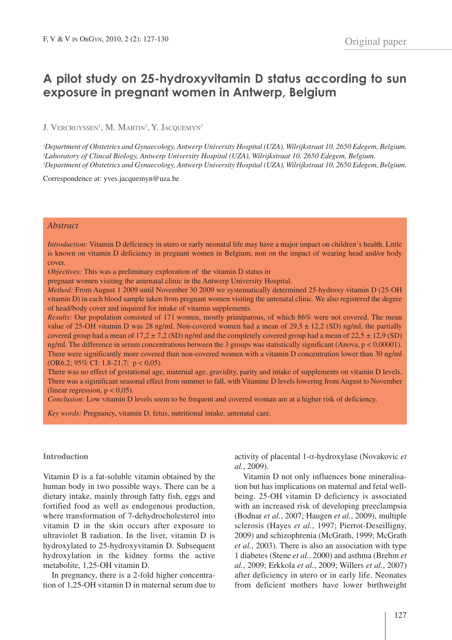# **A pilot study on 25-hydroxyvitamin D status according to sun exposure in pregnant women in Antwerp, Belgium**

J. VERCRUYSSEN<sup>1</sup>, M. MARTIN<sup>2</sup>, Y. JACQUEMYN<sup>3</sup>

*1 Department of Obstetrics and Gynaecology, Antwerp University Hospital (UZA), Wilrijkstraat 10, 2650 Edegem, Belgium. 2 Laboratory of Clincal Biology, Antwerp University Hospital (UZA), Wilrijkstraat 10, 2650 Edegem, Belgium. 3 Department of Obstetrics and Gynaecology, Antwerp University Hospital (UZA), Wilrijkstraat 10, 2650 Edegem, Belgium.*

Correspondence at: yves.jacquemyn@uza.be

## *Abstract*

*Introduction:* Vitamin D deficiency in utero or early neonatal life may have a major impact on children's health. Little is known on vitamin D deficiency in pregnant women in Belgium, non on the impact of wearing head and/or body cover.

*Objectives:* This was a preliminary exploration of the vitamin D status in

pregnant women visiting the antenatal clinic in the Antwerp University Hospital.

*Method:* From August 1 2009 until November 30 2009 we systematically determined 25-hydroxy vitamin D (25-OH vitamin D) in each blood sample taken from pregnant women visiting the antenatal clinic. We also registered the degree of head/body cover and inquired for intake of vitamin supplements.

*Results:* Our population consisted of 171 women, mostly primiparous, of which 86% were not covered. The mean value of 25-OH vitamin D was 28 ng/ml. Non-covered women had a mean of  $29.5 \pm 12.2$  (SD) ng/ml, the partially covered group had a mean of  $17,2 \pm 7,2$  (SD) ng/ml and the completely covered group had a mean of  $22.5 \pm 12.9$  (SD) ng/ml. The difference in serum concentrations between the 3 groups was statistically significant (Anova, p < 0,00001). There were significantly more covered than non-covered women with a vitamin D concentration lower than 30 ng/ml (OR6.2; 95% CI: 1,8-21,7; p < 0,05).

There was no effect of gestational age, maternal age, gravidity, parity and intake of supplements on vitamin D levels. There was a siginificant seasonal effect from summer to fall, with Vitamine D levels lowering from August to November (linear regression,  $p < 0.05$ ).

*Conclusion:* Low vitamin D levels seem to be frequent and covered woman are at a higher risk of deficiency.

*Key words:* Pregnancy, vitamin D, fetus, nutritional intake, antenatal care.

#### **Introduction**

Vitamin D is a fat-soluble vitamin obtained by the human body in two possible ways. There can be a dietary intake, mainly through fatty fish, eggs and fortified food as well as endogenous production, where transformation of 7-dehydrocholesterol into vitamin D in the skin occurs after exposure to ultraviolet B radiation. In the liver, vitamin D is hydroxylated to 25-hydroxyvitamin D. Subsequent hydroxylation in the kidney forms the active metabolite, 1,25-OH vitamin D.

In pregnancy, there is a 2-fold higher concentration of 1,25-OH vitamin D in maternal serum due to activity of placental 1-a-hydroxylase (Novakovic *et al.*, 2009).

Vitamin D not only influences bone mineralisation but has implications on maternal and fetal wellbeing. 25-OH vitamin D deficiency is associated with an increased risk of developing preeclampsia (Bodnar *et al.*, 2007; Haugen *et al.*, 2009), multiple sclerosis (Hayes *et al.*, 1997; Pierrot-Deseilligny, 2009) and schizophrenia (McGrath, 1999; McGrath *et al.*, 2003). There is also an association with type 1 diabetes (Stene *et al.*, 2000) and asthma (Brehm *et al.*, 2009; Erkkola *et al.*, 2009; Willers *et al.*, 2007) after deficiency in utero or in early life. Neonates from deficient mothers have lower birthweight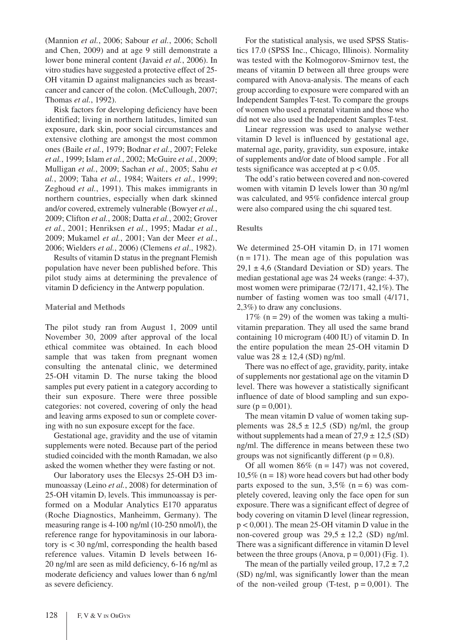(Mannion *et al.*, 2006; Sabour *et al.*, 2006; Scholl and Chen, 2009) and at age 9 still demonstrate a lower bone mineral content (Javaid *et al.*, 2006). In vitro studies have suggested a protective effect of 25- OH vitamin D against malignancies such as breastcancer and cancer of the colon. (McCullough, 2007; Thomas *et al.*, 1992).

Risk factors for developing deficiency have been identified; living in northern latitudes, limited sun exposure, dark skin, poor social circumstances and extensive clothing are amongst the most common ones (Baile *et al.*, 1979; Bodnar *et al.*, 2007; Feleke *et al.*, 1999; Islam *et al.*, 2002; McGuire *et al.*, 2009; Mulligan *et al.*, 2009; Sachan *et al.*, 2005; Sahu *et al.*, 2009; Taha *et al.*, 1984; Waiters *et al.*, 1999; Zeghoud *et al.*, 1991). This makes immigrants in northern countries, especially when dark skinned and/or covered, extremely vulnerable (Bowyer *et al.*, 2009; Clifton *et al.*, 2008; Datta *et al.*, 2002; Grover *et al.*, 2001; Henriksen *et al.*, 1995; Madar *et al.*, 2009; Mukamel *et al.*, 2001; Van der Meer *et al.*, 2006; Wielders *et al.*, 2006) (Clemens *et al*., 1982).

Results of vitamin D status in the pregnant Flemish population have never been published before. This pilot study aims at determining the prevalence of vitamin D deficiency in the Antwerp population.

## **Material and Methods**

The pilot study ran from August 1, 2009 until November 30, 2009 after approval of the local ethical commitee was obtained. In each blood sample that was taken from pregnant women consulting the antenatal clinic, we determined 25-OH vitamin D. The nurse taking the blood samples put every patient in a category according to their sun exposure. There were three possible categories: not covered, covering of only the head and leaving arms exposed to sun or complete covering with no sun exposure except for the face.

Gestational age, gravidity and the use of vitamin supplements were noted. Because part of the period studied coincided with the month Ramadan, we also asked the women whether they were fasting or not.

Our laboratory uses the Elecsys 25-OH D3 immunoassay (Leino *et al.*, 2008) for determination of  $25$ -OH vitamin  $D_3$  levels. This immunoassay is performed on a Modular Analytics E170 apparatus (Roche Diagnostics, Manheimm, Germany). The measuring range is 4-100 ng/ml (10-250 nmol/l), the reference range for hypovitaminosis in our laboratory is < 30 ng/ml, corresponding the health based reference values. Vitamin D levels between 16- 20 ng/ml are seen as mild deficiency, 6-16 ng/ml as moderate deficiency and values lower than 6 ng/ml as severe deficiency.

For the statistical analysis, we used SPSS Statistics 17.0 (SPSS Inc., Chicago, Illinois). Normality was tested with the Kolmogorov-Smirnov test, the means of vitamin D between all three groups were compared with Anova-analysis. The means of each group according to exposure were compared with an Independent Samples T-test. To compare the groups of women who used a prenatal vitamin and those who did not we also used the Independent Samples T-test.

Linear regression was used to analyse wether vitamin D level is influenced by gestational age, maternal age, parity, gravidity, sun exposure, intake of supplements and/or date of blood sample . For all tests significance was accepted at  $p < 0.05$ .

The odd's ratio between covered and non-covered women with vitamin D levels lower than 30 ng/ml was calculated, and 95% confidence intercal group were also compared using the chi squared test.

## **Results**

We determined  $25$ -OH vitamin  $D_3$  in 171 women  $(n = 171)$ . The mean age of this population was  $29,1 \pm 4,6$  (Standard Deviation or SD) years. The median gestational age was 24 weeks (range: 4-37), most women were primiparae (72/171, 42,1%). The number of fasting women was too small (4/171, 2,3%) to draw any conclusions.

17% ( $n = 29$ ) of the women was taking a multivitamin preparation. They all used the same brand containing 10 microgram (400 IU) of vitamin D. In the entire population the mean 25-OH vitamin D value was  $28 \pm 12.4$  (SD) ng/ml.

There was no effect of age, gravidity, parity, intake of supplements nor gestational age on the vitamin D level. There was however a statistically significant influence of date of blood sampling and sun exposure ( $p = 0.001$ ).

The mean vitamin D value of women taking supplements was  $28.5 \pm 12.5$  (SD) ng/ml, the group without supplements had a mean of  $27.9 \pm 12.5$  (SD) ng/ml. The difference in means between these two groups was not significantly different ( $p = 0.8$ ).

Of all women  $86\%$  (n = 147) was not covered,  $10,5\%$  (n = 18) wore head covers but had other body parts exposed to the sun,  $3,5\%$  (n = 6) was completely covered, leaving only the face open for sun exposure. There was a significant effect of degree of body covering on vitamin D level (linear regression, p < 0,001). The mean 25-OH vitamin D value in the non-covered group was  $29.5 \pm 12.2$  (SD) ng/ml. There was a significant difference in vitamin D level between the three groups (Anova,  $p = 0.001$ ) (Fig. 1).

The mean of the partially veiled group,  $17.2 \pm 7.2$ (SD) ng/ml, was significantly lower than the mean of the non-veiled group (T-test,  $p = 0.001$ ). The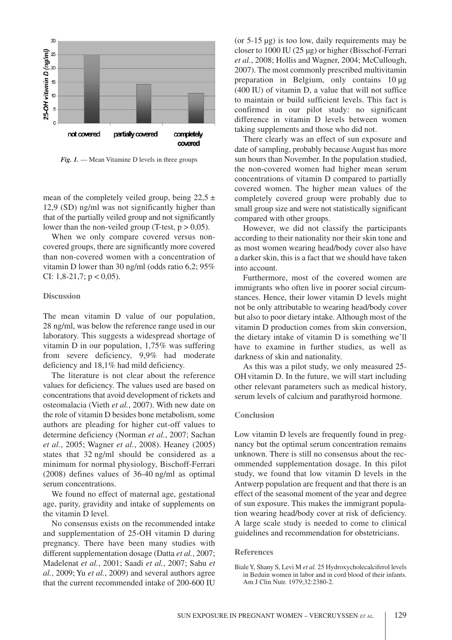

*Fig. 1.* — Mean Vitamine D levels in three groups

mean of the completely veiled group, being  $22.5 \pm$ 12,9 (SD) ng/ml was not significantly higher than that of the partially veiled group and not significantly lower than the non-veiled group (T-test,  $p > 0.05$ ).

When we only compare covered versus noncovered groups, there are significantly more covered than non-covered women with a concentration of vitamin D lower than 30 ng/ml (odds ratio 6,2; 95% CI:  $1,8-21,7$ ;  $p < 0,05$ ).

## **Discussion**

The mean vitamin D value of our population, 28 ng/ml, was below the reference range used in our laboratory. This suggests a widespread shortage of vitamin D in our population, 1,75% was suffering from severe deficiency, 9,9% had moderate deficiency and 18,1% had mild deficiency.

The literature is not clear about the reference values for deficiency. The values used are based on concentrations that avoid development of rickets and osteomalacia (Vieth *et al.*, 2007). With new date on the role of vitamin D besides bone metabolism, some authors are pleading for higher cut-off values to determine deficiency (Norman *et al.*, 2007; Sachan *et al.*, 2005; Wagner *et al.*, 2008). Heaney (2005) states that 32 ng/ml should be considered as a minimum for normal physiology, Bischoff-Ferrari (2008) defines values of 36-40 ng/ml as optimal serum concentrations.

We found no effect of maternal age, gestational age, parity, gravidity and intake of supplements on the vitamin D level.

No consensus exists on the recommended intake and supplementation of 25-OH vitamin D during pregnancy. There have been many studies with different supplementation dosage (Datta *et al.*, 2007; Madelenat *et al.*, 2001; Saadi *et al.*, 2007; Sahu *et al.*, 2009; Yu *et al.*, 2009) and several authors agree that the current recommended intake of 200-600 IU

(or 5-15 µg) is too low, daily requirements may be closer to 1000 IU (25 µg) or higher (Bisschof-Ferrari *et al.*, 2008; Hollis and Wagner, 2004; McCullough, 2007). The most commonly prescribed multivitamin preparation in Belgium, only contains 10 µg (400 IU) of vitamin D, a value that will not suffice to maintain or build sufficient levels. This fact is confirmed in our pilot study: no significant difference in vitamin D levels between women taking supplements and those who did not.

There clearly was an effect of sun exposure and date of sampling, probably because August has more sun hours than November. In the population studied, the non-covered women had higher mean serum concentrations of vitamin D compared to partially covered women. The higher mean values of the completely covered group were probably due to small group size and were not statistically significant compared with other groups.

However, we did not classify the participants according to their nationality nor their skin tone and as most women wearing head/body cover also have a darker skin, this is a fact that we should have taken into account.

Furthermore, most of the covered women are immigrants who often live in poorer social circumstances. Hence, their lower vitamin D levels might not be only attributable to wearing head/body cover but also to poor dietary intake. Although most of the vitamin D production comes from skin conversion, the dietary intake of vitamin D is something we'll have to examine in further studies, as well as darkness of skin and nationality.

As this was a pilot study, we only measured 25- OHvitamin D. In the future, we will start including other relevant parameters such as medical history, serum levels of calcium and parathyroid hormone.

## **Conclusion**

Low vitamin D levels are frequently found in pregnancy but the optimal serum concentration remains unknown. There is still no consensus about the recommended supplementation dosage. In this pilot study, we found that low vitamin D levels in the Antwerp population are frequent and that there is an effect of the seasonal moment of the year and degree of sun exposure. This makes the immigrant population wearing head/body cover at risk of deficiency. A large scale study is needed to come to clinical guidelines and recommendation for obstetricians.

#### **References**

BialeY, Shany S, Levi M *et al.* 25 Hydroxycholecalciferol levels in Beduin women in labor and in cord blood of their infants. Am J Clin Nutr. 1979;32:2380-2.